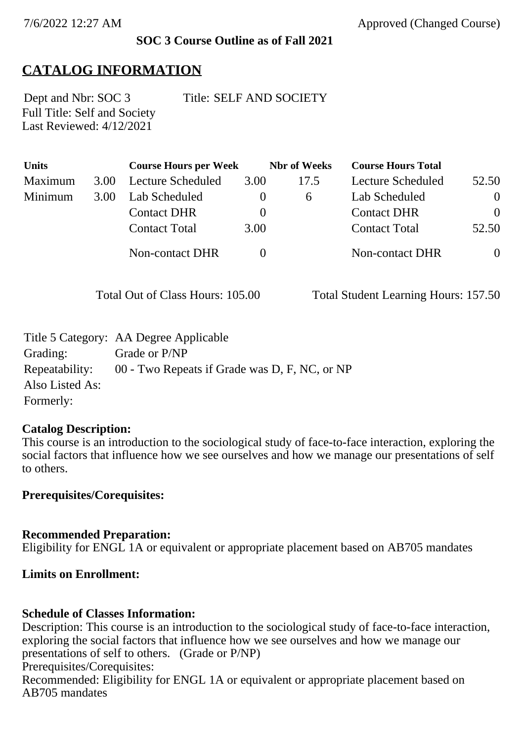### **SOC 3 Course Outline as of Fall 2021**

## **CATALOG INFORMATION**

Full Title: Self and Society Last Reviewed: 4/12/2021

Dept and Nbr: SOC 3 Title: SELF AND SOCIETY

| Units   |      | <b>Course Hours per Week</b> |          | <b>Nbr</b> of Weeks | <b>Course Hours Total</b> |                |
|---------|------|------------------------------|----------|---------------------|---------------------------|----------------|
| Maximum | 3.00 | Lecture Scheduled            | 3.00     | 17.5                | Lecture Scheduled         | 52.50          |
| Minimum | 3.00 | Lab Scheduled                | $\theta$ | <sub>6</sub>        | Lab Scheduled             | $\theta$       |
|         |      | <b>Contact DHR</b>           | $\theta$ |                     | <b>Contact DHR</b>        | $\overline{0}$ |
|         |      | <b>Contact Total</b>         | 3.00     |                     | <b>Contact Total</b>      | 52.50          |
|         |      | Non-contact DHR              |          |                     | Non-contact DHR           | $\overline{0}$ |

Total Out of Class Hours: 105.00 Total Student Learning Hours: 157.50

|                 | Title 5 Category: AA Degree Applicable        |
|-----------------|-----------------------------------------------|
| Grading:        | Grade or P/NP                                 |
| Repeatability:  | 00 - Two Repeats if Grade was D, F, NC, or NP |
| Also Listed As: |                                               |
| Formerly:       |                                               |

### **Catalog Description:**

This course is an introduction to the sociological study of face-to-face interaction, exploring the social factors that influence how we see ourselves and how we manage our presentations of self to others.

**Prerequisites/Corequisites:**

### **Recommended Preparation:**

Eligibility for ENGL 1A or equivalent or appropriate placement based on AB705 mandates

### **Limits on Enrollment:**

### **Schedule of Classes Information:**

Description: This course is an introduction to the sociological study of face-to-face interaction, exploring the social factors that influence how we see ourselves and how we manage our presentations of self to others. (Grade or P/NP) Prerequisites/Corequisites: Recommended: Eligibility for ENGL 1A or equivalent or appropriate placement based on AB705 mandates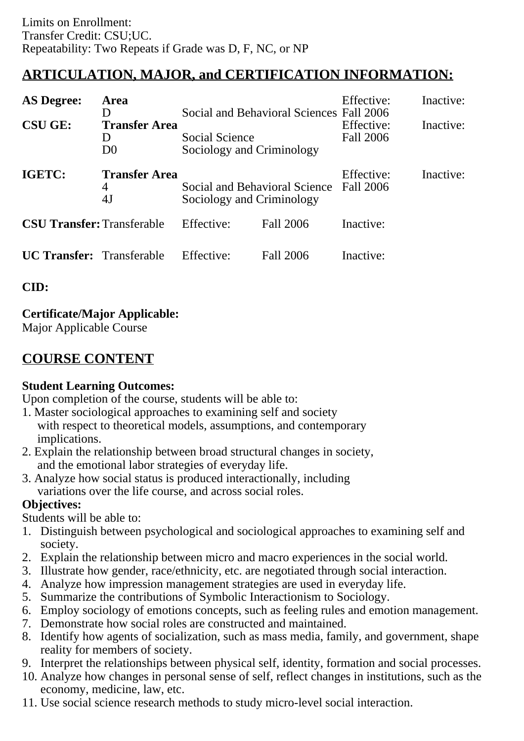# **ARTICULATION, MAJOR, and CERTIFICATION INFORMATION:**

| <b>AS Degree:</b><br><b>CSU GE:</b> | Area<br>D<br><b>Transfer Area</b><br>$\mathsf{D}$<br>D <sub>0</sub> | <b>Social Science</b><br>Sociology and Criminology         | Social and Behavioral Sciences Fall 2006 | Effective:<br>Effective:<br>Fall 2006 | Inactive:<br>Inactive: |
|-------------------------------------|---------------------------------------------------------------------|------------------------------------------------------------|------------------------------------------|---------------------------------------|------------------------|
| <b>IGETC:</b>                       | <b>Transfer Area</b><br>4<br>4J                                     | Social and Behavioral Science<br>Sociology and Criminology |                                          | Effective:<br>Fall 2006               | Inactive:              |
| <b>CSU Transfer: Transferable</b>   |                                                                     | Effective:                                                 | Fall 2006                                | Inactive:                             |                        |
| <b>UC Transfer:</b> Transferable    |                                                                     | Effective:                                                 | Fall 2006                                | Inactive:                             |                        |

**CID:**

## **Certificate/Major Applicable:**

[Major Applicable Course](SR_ClassCheck.aspx?CourseKey=SOC3)

## **COURSE CONTENT**

## **Student Learning Outcomes:**

Upon completion of the course, students will be able to:

- 1. Master sociological approaches to examining self and society with respect to theoretical models, assumptions, and contemporary implications.
- 2. Explain the relationship between broad structural changes in society, and the emotional labor strategies of everyday life.
- 3. Analyze how social status is produced interactionally, including variations over the life course, and across social roles.

## **Objectives:**

Students will be able to:

- 1. Distinguish between psychological and sociological approaches to examining self and society.
- 2. Explain the relationship between micro and macro experiences in the social world.
- 3. Illustrate how gender, race/ethnicity, etc. are negotiated through social interaction.
- 4. Analyze how impression management strategies are used in everyday life.
- 5. Summarize the contributions of Symbolic Interactionism to Sociology.
- 6. Employ sociology of emotions concepts, such as feeling rules and emotion management.
- 7. Demonstrate how social roles are constructed and maintained.
- 8. Identify how agents of socialization, such as mass media, family, and government, shape reality for members of society.
- 9. Interpret the relationships between physical self, identity, formation and social processes.
- 10. Analyze how changes in personal sense of self, reflect changes in institutions, such as the economy, medicine, law, etc.
- 11. Use social science research methods to study micro-level social interaction.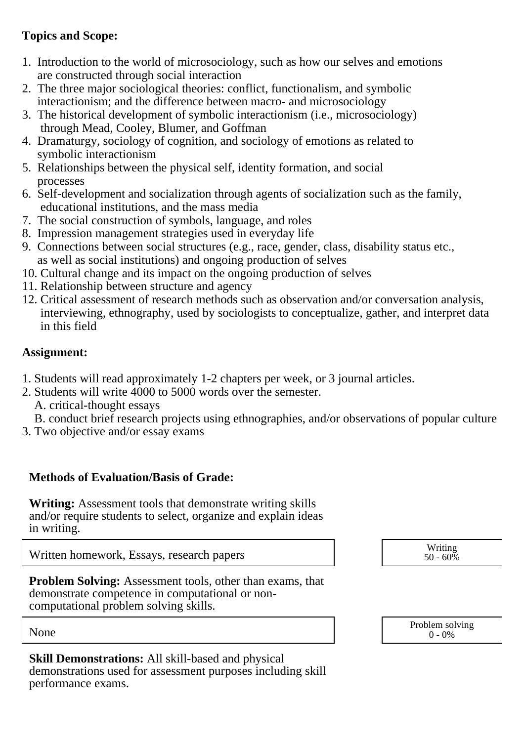## **Topics and Scope:**

- 1. Introduction to the world of microsociology, such as how our selves and emotions are constructed through social interaction
- 2. The three major sociological theories: conflict, functionalism, and symbolic interactionism; and the difference between macro- and microsociology
- 3. The historical development of symbolic interactionism (i.e., microsociology) through Mead, Cooley, Blumer, and Goffman
- 4. Dramaturgy, sociology of cognition, and sociology of emotions as related to symbolic interactionism
- 5. Relationships between the physical self, identity formation, and social processes
- 6. Self-development and socialization through agents of socialization such as the family, educational institutions, and the mass media
- 7. The social construction of symbols, language, and roles
- 8. Impression management strategies used in everyday life
- 9. Connections between social structures (e.g., race, gender, class, disability status etc., as well as social institutions) and ongoing production of selves
- 10. Cultural change and its impact on the ongoing production of selves
- 11. Relationship between structure and agency
- 12. Critical assessment of research methods such as observation and/or conversation analysis, interviewing, ethnography, used by sociologists to conceptualize, gather, and interpret data in this field

## **Assignment:**

- 1. Students will read approximately 1-2 chapters per week, or 3 journal articles.
- 2. Students will write 4000 to 5000 words over the semester.
	- A. critical-thought essays
	- B. conduct brief research projects using ethnographies, and/or observations of popular culture
- 3. Two objective and/or essay exams

## **Methods of Evaluation/Basis of Grade:**

**Writing:** Assessment tools that demonstrate writing skills and/or require students to select, organize and explain ideas in writing.

Written homework, Essays, research papers and the state of the state of the Writing

**Problem Solving:** Assessment tools, other than exams, that demonstrate competence in computational or noncomputational problem solving skills.

**Skill Demonstrations:** All skill-based and physical demonstrations used for assessment purposes including skill performance exams.



None Problem solving and the Problem solving problem solving and the Problem solving problem solving  $0 - 0\%$  $0 - 0\%$